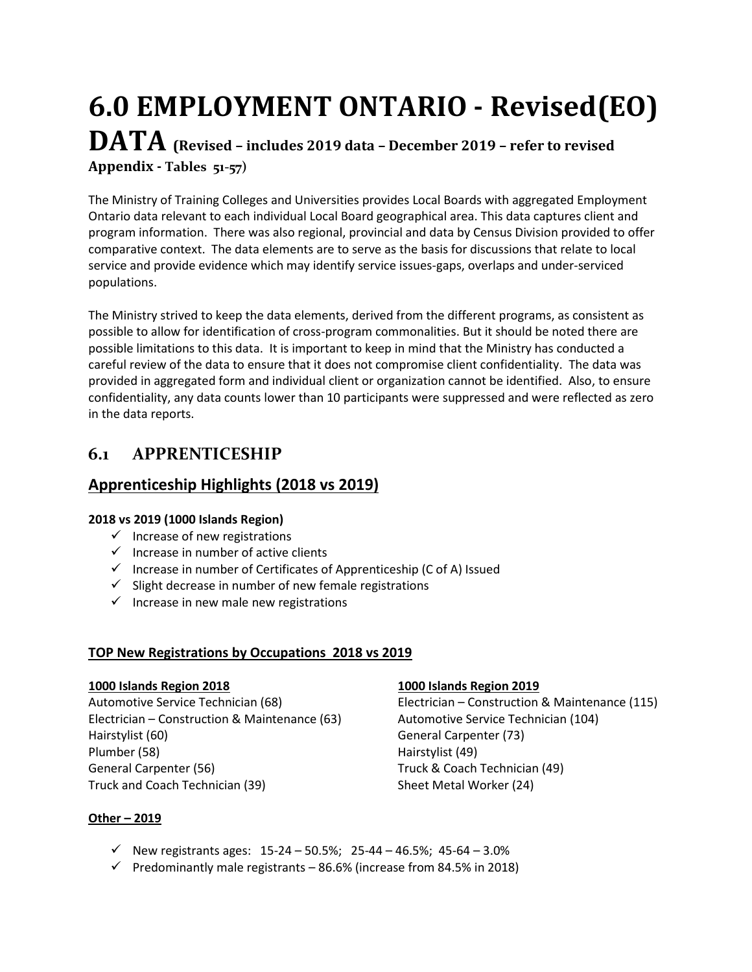# **6.0 EMPLOYMENT ONTARIO - Revised(EO) DATA (Revised – includes 2019 data – December 2019 – refer to revised Appendix - Tables 51-57)**

The Ministry of Training Colleges and Universities provides Local Boards with aggregated Employment Ontario data relevant to each individual Local Board geographical area. This data captures client and program information. There was also regional, provincial and data by Census Division provided to offer comparative context. The data elements are to serve as the basis for discussions that relate to local service and provide evidence which may identify service issues-gaps, overlaps and under-serviced populations.

The Ministry strived to keep the data elements, derived from the different programs, as consistent as possible to allow for identification of cross-program commonalities. But it should be noted there are possible limitations to this data. It is important to keep in mind that the Ministry has conducted a careful review of the data to ensure that it does not compromise client confidentiality. The data was provided in aggregated form and individual client or organization cannot be identified. Also, to ensure confidentiality, any data counts lower than 10 participants were suppressed and were reflected as zero in the data reports.

# **6.1 APPRENTICESHIP**

# **Apprenticeship Highlights (2018 vs 2019)**

### **2018 vs 2019 (1000 Islands Region)**

- $\checkmark$  Increase of new registrations
- $\checkmark$  Increase in number of active clients
- $\checkmark$  Increase in number of Certificates of Apprenticeship (C of A) Issued
- $\checkmark$  Slight decrease in number of new female registrations
- $\checkmark$  Increase in new male new registrations

# **TOP New Registrations by Occupations 2018 vs 2019**

Electrician – Construction & Maintenance (63) Automotive Service Technician (104) Hairstylist (60) **General Carpenter (73)** Plumber (58) Hairstylist (49) General Carpenter (56) Truck & Coach Technician (49) Truck and Coach Technician (39) Sheet Metal Worker (24)

# **1000 Islands Region 2018 1000 Islands Region 2019**

Automotive Service Technician (68) Electrician – Construction & Maintenance (115)

### **Other – 2019**

- $\checkmark$  New registrants ages: 15-24 50.5%; 25-44 46.5%; 45-64 3.0%
- $\checkmark$  Predominantly male registrants 86.6% (increase from 84.5% in 2018)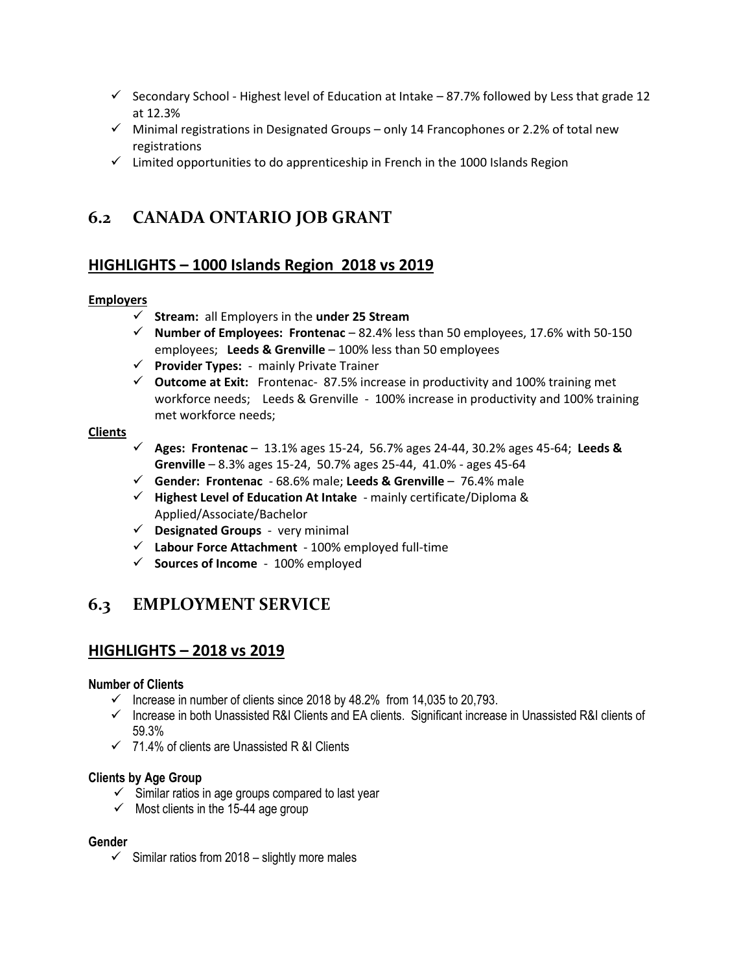- $\checkmark$  Secondary School Highest level of Education at Intake 87.7% followed by Less that grade 12 at 12.3%
- $\checkmark$  Minimal registrations in Designated Groups only 14 Francophones or 2.2% of total new registrations
- $\checkmark$  Limited opportunities to do apprenticeship in French in the 1000 Islands Region

# **6.2 CANADA ONTARIO JOB GRANT**

# **HIGHLIGHTS – 1000 Islands Region 2018 vs 2019**

#### **Employers**

- **Stream:** all Employers in the **under 25 Stream**
- **Number of Employees: Frontenac**  82.4% less than 50 employees, 17.6% with 50-150 employees; **Leeds & Grenville** – 100% less than 50 employees
- **Provider Types:** mainly Private Trainer
- $\checkmark$  Outcome at Exit: Frontenac- 87.5% increase in productivity and 100% training met workforce needs; Leeds & Grenville - 100% increase in productivity and 100% training met workforce needs;

#### **Clients**

- **Ages: Frontenac** 13.1% ages 15-24, 56.7% ages 24-44, 30.2% ages 45-64; **Leeds & Grenville** – 8.3% ages 15-24, 50.7% ages 25-44, 41.0% - ages 45-64
- **Gender: Frontenac** 68.6% male; **Leeds & Grenville** 76.4% male
- **Highest Level of Education At Intake** mainly certificate/Diploma & Applied/Associate/Bachelor
- **Designated Groups** very minimal
- **Labour Force Attachment** 100% employed full-time
- **Sources of Income** 100% employed

# **6.3 EMPLOYMENT SERVICE**

# **HIGHLIGHTS – 2018 vs 2019**

#### **Number of Clients**

- $\checkmark$  Increase in number of clients since 2018 by 48.2% from 14,035 to 20,793.
- $\checkmark$  Increase in both Unassisted R&I Clients and EA clients. Significant increase in Unassisted R&I clients of 59.3%
- $\checkmark$  71.4% of clients are Unassisted R &I Clients

#### **Clients by Age Group**

- $\checkmark$  Similar ratios in age groups compared to last year
- $\checkmark$  Most clients in the 15-44 age group

#### **Gender**

 $\checkmark$  Similar ratios from 2018 – slightly more males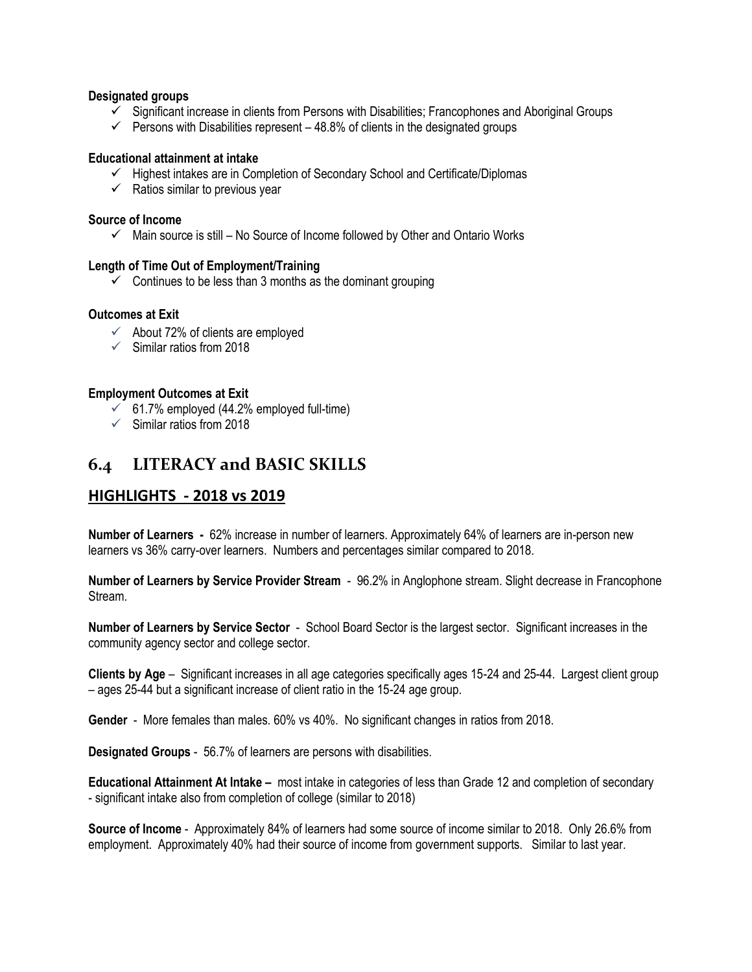#### **Designated groups**

- $\checkmark$  Significant increase in clients from Persons with Disabilities; Francophones and Aboriginal Groups
- $\checkmark$  Persons with Disabilities represent 48.8% of clients in the designated groups

#### **Educational attainment at intake**

- $\checkmark$  Highest intakes are in Completion of Secondary School and Certificate/Diplomas
- $\checkmark$  Ratios similar to previous year

#### **Source of Income**

 $\checkmark$  Main source is still – No Source of Income followed by Other and Ontario Works

#### **Length of Time Out of Employment/Training**

 $\checkmark$  Continues to be less than 3 months as the dominant grouping

#### **Outcomes at Exit**

- $\checkmark$  About 72% of clients are employed
- $\checkmark$  Similar ratios from 2018

#### **Employment Outcomes at Exit**

- $61.7\%$  employed (44.2% employed full-time)
- $\checkmark$  Similar ratios from 2018

# **6.4 LITERACY and BASIC SKILLS**

# **HIGHLIGHTS - 2018 vs 2019**

**Number of Learners -** 62% increase in number of learners. Approximately 64% of learners are in-person new learners vs 36% carry-over learners. Numbers and percentages similar compared to 2018.

**Number of Learners by Service Provider Stream** - 96.2% in Anglophone stream. Slight decrease in Francophone Stream.

**Number of Learners by Service Sector** - School Board Sector is the largest sector. Significant increases in the community agency sector and college sector.

**Clients by Age** – Significant increases in all age categories specifically ages 15-24 and 25-44. Largest client group – ages 25-44 but a significant increase of client ratio in the 15-24 age group.

**Gender** - More females than males. 60% vs 40%. No significant changes in ratios from 2018.

**Designated Groups** - 56.7% of learners are persons with disabilities.

**Educational Attainment At Intake –** most intake in categories of less than Grade 12 and completion of secondary - significant intake also from completion of college (similar to 2018)

**Source of Income** - Approximately 84% of learners had some source of income similar to 2018. Only 26.6% from employment. Approximately 40% had their source of income from government supports. Similar to last year.